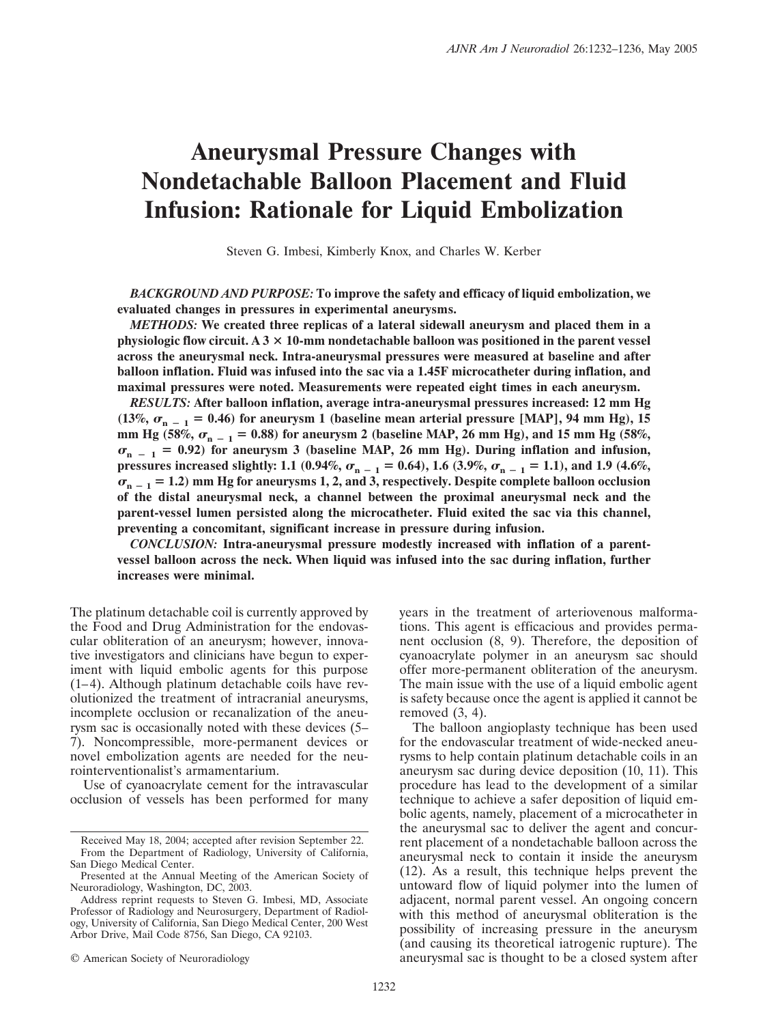# **Aneurysmal Pressure Changes with Nondetachable Balloon Placement and Fluid Infusion: Rationale for Liquid Embolization**

Steven G. Imbesi, Kimberly Knox, and Charles W. Kerber

*BACKGROUND AND PURPOSE:* **To improve the safety and efficacy of liquid embolization, we evaluated changes in pressures in experimental aneurysms.**

*METHODS:* **We created three replicas of a lateral sidewall aneurysm and placed them in a physiologic flow circuit. A 3 10-mm nondetachable balloon was positioned in the parent vessel across the aneurysmal neck. Intra-aneurysmal pressures were measured at baseline and after balloon inflation. Fluid was infused into the sac via a 1.45F microcatheter during inflation, and maximal pressures were noted. Measurements were repeated eight times in each aneurysm.**

*RESULTS:* **After balloon inflation, average intra-aneurysmal pressures increased: 12 mm Hg** (13%,  $\sigma_{n-1}$  = 0.46) for aneurysm 1 (baseline mean arterial pressure [MAP], 94 mm Hg), 15 mm Hg (58%,  $\sigma_{n-1}$  = 0.88) for aneurysm 2 (baseline MAP, 26 mm Hg), and 15 mm Hg (58%,  $\sigma_{n}$   $=$  1 = 0.92) for aneurysm 3 (baseline MAP, 26 mm Hg). During inflation and infusion, **pressures increased slightly:** 1.1 (0.94%,  $\sigma_{n-1} = 0.64$ ), 1.6 (3.9%,  $\sigma_{n-1} = 1.1$ ), and 1.9 (4.6%,  $\sigma_{n-1}$  = 1.2) mm Hg for aneurysms 1, 2, and 3, respectively. Despite complete balloon occlusion **of the distal aneurysmal neck, a channel between the proximal aneurysmal neck and the parent-vessel lumen persisted along the microcatheter. Fluid exited the sac via this channel, preventing a concomitant, significant increase in pressure during infusion.**

*CONCLUSION:* **Intra-aneurysmal pressure modestly increased with inflation of a parentvessel balloon across the neck. When liquid was infused into the sac during inflation, further increases were minimal.**

The platinum detachable coil is currently approved by the Food and Drug Administration for the endovascular obliteration of an aneurysm; however, innovative investigators and clinicians have begun to experiment with liquid embolic agents for this purpose  $(1-4)$ . Although platinum detachable coils have revolutionized the treatment of intracranial aneurysms, incomplete occlusion or recanalization of the aneurysm sac is occasionally noted with these devices (5– 7). Noncompressible, more-permanent devices or novel embolization agents are needed for the neurointerventionalist's armamentarium.

Use of cyanoacrylate cement for the intravascular occlusion of vessels has been performed for many years in the treatment of arteriovenous malformations. This agent is efficacious and provides permanent occlusion (8, 9). Therefore, the deposition of cyanoacrylate polymer in an aneurysm sac should offer more-permanent obliteration of the aneurysm. The main issue with the use of a liquid embolic agent is safety because once the agent is applied it cannot be removed (3, 4).

The balloon angioplasty technique has been used for the endovascular treatment of wide-necked aneurysms to help contain platinum detachable coils in an aneurysm sac during device deposition (10, 11). This procedure has lead to the development of a similar technique to achieve a safer deposition of liquid embolic agents, namely, placement of a microcatheter in the aneurysmal sac to deliver the agent and concurrent placement of a nondetachable balloon across the aneurysmal neck to contain it inside the aneurysm (12). As a result, this technique helps prevent the untoward flow of liquid polymer into the lumen of adjacent, normal parent vessel. An ongoing concern with this method of aneurysmal obliteration is the possibility of increasing pressure in the aneurysm (and causing its theoretical iatrogenic rupture). The aneurysmal sac is thought to be a closed system after

Received May 18, 2004; accepted after revision September 22. From the Department of Radiology, University of California, San Diego Medical Center.

Presented at the Annual Meeting of the American Society of Neuroradiology, Washington, DC, 2003.

Address reprint requests to Steven G. Imbesi, MD, Associate Professor of Radiology and Neurosurgery, Department of Radiology, University of California, San Diego Medical Center, 200 West Arbor Drive, Mail Code 8756, San Diego, CA 92103.

<sup>©</sup> American Society of Neuroradiology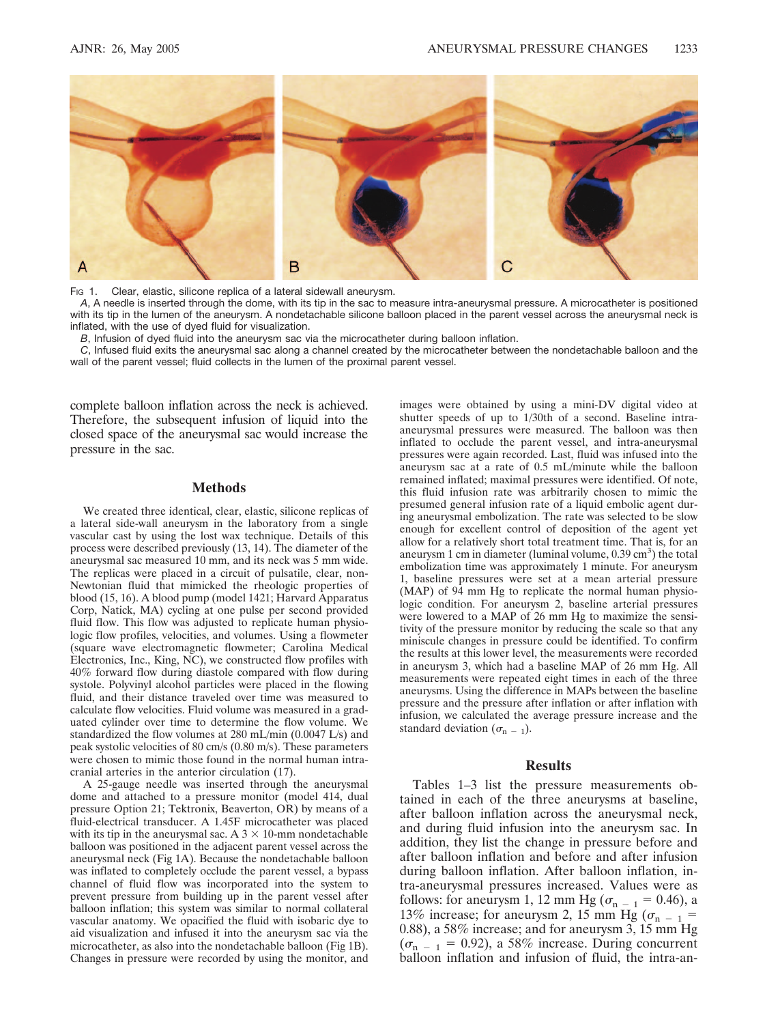

Fig 1. Clear, elastic, silicone replica of a lateral sidewall aneurysm.

*A*, A needle is inserted through the dome, with its tip in the sac to measure intra-aneurysmal pressure. A microcatheter is positioned with its tip in the lumen of the aneurysm. A nondetachable silicone balloon placed in the parent vessel across the aneurysmal neck is inflated, with the use of dyed fluid for visualization.

*B*, Infusion of dyed fluid into the aneurysm sac via the microcatheter during balloon inflation.

*C*, Infused fluid exits the aneurysmal sac along a channel created by the microcatheter between the nondetachable balloon and the wall of the parent vessel; fluid collects in the lumen of the proximal parent vessel.

complete balloon inflation across the neck is achieved. Therefore, the subsequent infusion of liquid into the closed space of the aneurysmal sac would increase the pressure in the sac.

## **Methods**

We created three identical, clear, elastic, silicone replicas of a lateral side-wall aneurysm in the laboratory from a single vascular cast by using the lost wax technique. Details of this process were described previously (13, 14). The diameter of the aneurysmal sac measured 10 mm, and its neck was 5 mm wide. The replicas were placed in a circuit of pulsatile, clear, non-Newtonian fluid that mimicked the rheologic properties of blood (15, 16). A blood pump (model 1421; Harvard Apparatus Corp, Natick, MA) cycling at one pulse per second provided fluid flow. This flow was adjusted to replicate human physiologic flow profiles, velocities, and volumes. Using a flowmeter (square wave electromagnetic flowmeter; Carolina Medical Electronics, Inc., King, NC), we constructed flow profiles with 40% forward flow during diastole compared with flow during systole. Polyvinyl alcohol particles were placed in the flowing fluid, and their distance traveled over time was measured to calculate flow velocities. Fluid volume was measured in a graduated cylinder over time to determine the flow volume. We standardized the flow volumes at 280 mL/min (0.0047 L/s) and peak systolic velocities of 80 cm/s (0.80 m/s). These parameters were chosen to mimic those found in the normal human intracranial arteries in the anterior circulation (17).

A 25-gauge needle was inserted through the aneurysmal dome and attached to a pressure monitor (model 414, dual pressure Option 21; Tektronix, Beaverton, OR) by means of a fluid-electrical transducer. A 1.45F microcatheter was placed with its tip in the aneurysmal sac. A  $3 \times 10$ -mm nondetachable balloon was positioned in the adjacent parent vessel across the aneurysmal neck (Fig 1A). Because the nondetachable balloon was inflated to completely occlude the parent vessel, a bypass channel of fluid flow was incorporated into the system to prevent pressure from building up in the parent vessel after balloon inflation; this system was similar to normal collateral vascular anatomy. We opacified the fluid with isobaric dye to aid visualization and infused it into the aneurysm sac via the microcatheter, as also into the nondetachable balloon (Fig 1B). Changes in pressure were recorded by using the monitor, and

images were obtained by using a mini-DV digital video at shutter speeds of up to 1/30th of a second. Baseline intraaneurysmal pressures were measured. The balloon was then inflated to occlude the parent vessel, and intra-aneurysmal pressures were again recorded. Last, fluid was infused into the aneurysm sac at a rate of 0.5 mL/minute while the balloon remained inflated; maximal pressures were identified. Of note, this fluid infusion rate was arbitrarily chosen to mimic the presumed general infusion rate of a liquid embolic agent during aneurysmal embolization. The rate was selected to be slow enough for excellent control of deposition of the agent yet allow for a relatively short total treatment time. That is, for an aneurysm 1 cm in diameter (luminal volume,  $0.39 \text{ cm}^3$ ) the total embolization time was approximately 1 minute. For aneurysm 1, baseline pressures were set at a mean arterial pressure (MAP) of 94 mm Hg to replicate the normal human physiologic condition. For aneurysm 2, baseline arterial pressures were lowered to a MAP of 26 mm Hg to maximize the sensitivity of the pressure monitor by reducing the scale so that any miniscule changes in pressure could be identified. To confirm the results at this lower level, the measurements were recorded in aneurysm 3, which had a baseline MAP of 26 mm Hg. All measurements were repeated eight times in each of the three aneurysms. Using the difference in MAPs between the baseline pressure and the pressure after inflation or after inflation with infusion, we calculated the average pressure increase and the standard deviation  $(\sigma_{n-1})$ .

#### **Results**

Tables 1–3 list the pressure measurements obtained in each of the three aneurysms at baseline, after balloon inflation across the aneurysmal neck, and during fluid infusion into the aneurysm sac. In addition, they list the change in pressure before and after balloon inflation and before and after infusion during balloon inflation. After balloon inflation, intra-aneurysmal pressures increased. Values were as follows: for aneurysm 1, 12 mm Hg ( $\sigma_{n-1}$  = 0.46), a 13% increase; for aneurysm 2, 15 mm Hg ( $\sigma_{n-1}$  = 0.88), a 58% increase; and for aneurysm 3, 15 mm Hg  $(\sigma_{n-1} = 0.92)$ , a 58% increase. During concurrent balloon inflation and infusion of fluid, the intra-an-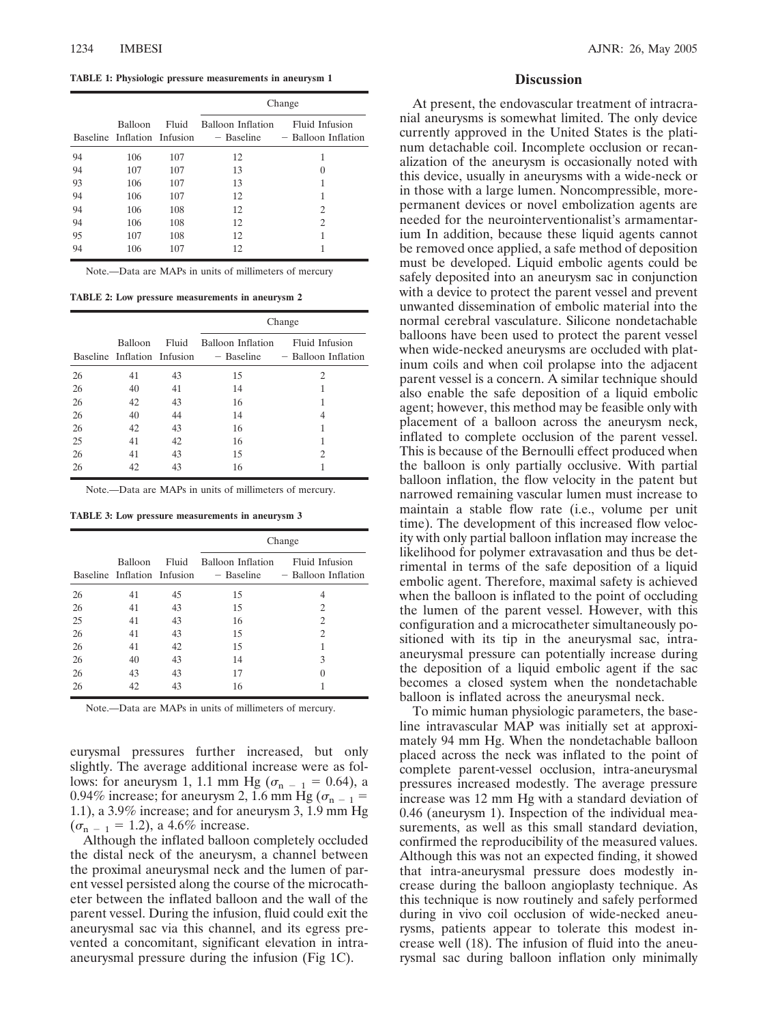**TABLE 1: Physiologic pressure measurements in aneurysm 1**

|    |                                        |       | Change                          |                                       |  |
|----|----------------------------------------|-------|---------------------------------|---------------------------------------|--|
|    | Balloon<br>Baseline Inflation Infusion | Fluid | Balloon Inflation<br>- Baseline | Fluid Infusion<br>- Balloon Inflation |  |
| 94 | 106                                    | 107   | 12                              | 1                                     |  |
| 94 | 107                                    | 107   | 13                              | $\theta$                              |  |
| 93 | 106                                    | 107   | 13                              | 1                                     |  |
| 94 | 106                                    | 107   | 12                              | 1                                     |  |
| 94 | 106                                    | 108   | 12                              | 2                                     |  |
| 94 | 106                                    | 108   | 12                              | 2                                     |  |
| 95 | 107                                    | 108   | 12                              | 1                                     |  |
| 94 | 106                                    | 107   | 12                              | 1                                     |  |

Note.—Data are MAPs in units of millimeters of mercury .

**TABLE 2: Low pressure measurements in aneurysm 2**

|    |                                        |       | Change                          |                                       |  |
|----|----------------------------------------|-------|---------------------------------|---------------------------------------|--|
|    | Balloon<br>Baseline Inflation Infusion | Fluid | Balloon Inflation<br>- Baseline | Fluid Infusion<br>- Balloon Inflation |  |
| 26 | 41                                     | 43    | 15                              | 2                                     |  |
| 26 | 40                                     | 41    | 14                              | 1                                     |  |
| 26 | 42                                     | 43    | 16                              | 1                                     |  |
| 26 | 40                                     | 44    | 14                              | 4                                     |  |
| 26 | 42                                     | 43    | 16                              | 1                                     |  |
| 25 | 41                                     | 42    | 16                              | 1                                     |  |
| 26 | 41                                     | 43    | 15                              | 2                                     |  |
| 26 | 42                                     | 43    | 16                              |                                       |  |

Note.—Data are MAPs in units of millimeters of mercury.

**TABLE 3: Low pressure measurements in aneurysm 3**

|    |                                        |       | Change                          |                                       |  |
|----|----------------------------------------|-------|---------------------------------|---------------------------------------|--|
|    | Balloon<br>Baseline Inflation Infusion | Fluid | Balloon Inflation<br>- Baseline | Fluid Infusion<br>- Balloon Inflation |  |
| 26 | 41                                     | 45    | 15                              | 4                                     |  |
| 26 | 41                                     | 43    | 15                              | 2                                     |  |
| 25 | 41                                     | 43    | 16                              | 2                                     |  |
| 26 | 41                                     | 43    | 15                              | 2                                     |  |
| 26 | 41                                     | 42    | 15                              | 1                                     |  |
| 26 | 40                                     | 43    | 14                              | 3                                     |  |
| 26 | 43                                     | 43    | 17                              | $\theta$                              |  |
| 26 | 42                                     | 43    | 16                              |                                       |  |

Note.—Data are MAPs in units of millimeters of mercury.

eurysmal pressures further increased, but only slightly. The average additional increase were as follows: for aneurysm 1, 1.1 mm Hg ( $\sigma_{n-1} = 0.64$ ), a 0.94% increase; for aneurysm 2, 1.6 mm Hg ( $\sigma_{n-1}$  = 1.1), a 3.9% increase; and for aneurysm 3, 1.9 mm Hg  $(\sigma_{n-1} = 1.2)$ , a 4.6% increase.

Although the inflated balloon completely occluded the distal neck of the aneurysm, a channel between the proximal aneurysmal neck and the lumen of parent vessel persisted along the course of the microcatheter between the inflated balloon and the wall of the parent vessel. During the infusion, fluid could exit the aneurysmal sac via this channel, and its egress prevented a concomitant, significant elevation in intraaneurysmal pressure during the infusion (Fig 1C).

#### **Discussion**

At present, the endovascular treatment of intracranial aneurysms is somewhat limited. The only device currently approved in the United States is the platinum detachable coil. Incomplete occlusion or recanalization of the aneurysm is occasionally noted with this device, usually in aneurysms with a wide-neck or in those with a large lumen. Noncompressible, morepermanent devices or novel embolization agents are needed for the neurointerventionalist's armamentarium In addition, because these liquid agents cannot be removed once applied, a safe method of deposition must be developed. Liquid embolic agents could be safely deposited into an aneurysm sac in conjunction with a device to protect the parent vessel and prevent unwanted dissemination of embolic material into the normal cerebral vasculature. Silicone nondetachable balloons have been used to protect the parent vessel when wide-necked aneurysms are occluded with platinum coils and when coil prolapse into the adjacent parent vessel is a concern. A similar technique should also enable the safe deposition of a liquid embolic agent; however, this method may be feasible only with placement of a balloon across the aneurysm neck, inflated to complete occlusion of the parent vessel. This is because of the Bernoulli effect produced when the balloon is only partially occlusive. With partial balloon inflation, the flow velocity in the patent but narrowed remaining vascular lumen must increase to maintain a stable flow rate (i.e., volume per unit time). The development of this increased flow velocity with only partial balloon inflation may increase the likelihood for polymer extravasation and thus be detrimental in terms of the safe deposition of a liquid embolic agent. Therefore, maximal safety is achieved when the balloon is inflated to the point of occluding the lumen of the parent vessel. However, with this configuration and a microcatheter simultaneously positioned with its tip in the aneurysmal sac, intraaneurysmal pressure can potentially increase during the deposition of a liquid embolic agent if the sac becomes a closed system when the nondetachable balloon is inflated across the aneurysmal neck.

To mimic human physiologic parameters, the baseline intravascular MAP was initially set at approximately 94 mm Hg. When the nondetachable balloon placed across the neck was inflated to the point of complete parent-vessel occlusion, intra-aneurysmal pressures increased modestly. The average pressure increase was 12 mm Hg with a standard deviation of 0.46 (aneurysm 1). Inspection of the individual measurements, as well as this small standard deviation, confirmed the reproducibility of the measured values. Although this was not an expected finding, it showed that intra-aneurysmal pressure does modestly increase during the balloon angioplasty technique. As this technique is now routinely and safely performed during in vivo coil occlusion of wide-necked aneurysms, patients appear to tolerate this modest increase well (18). The infusion of fluid into the aneurysmal sac during balloon inflation only minimally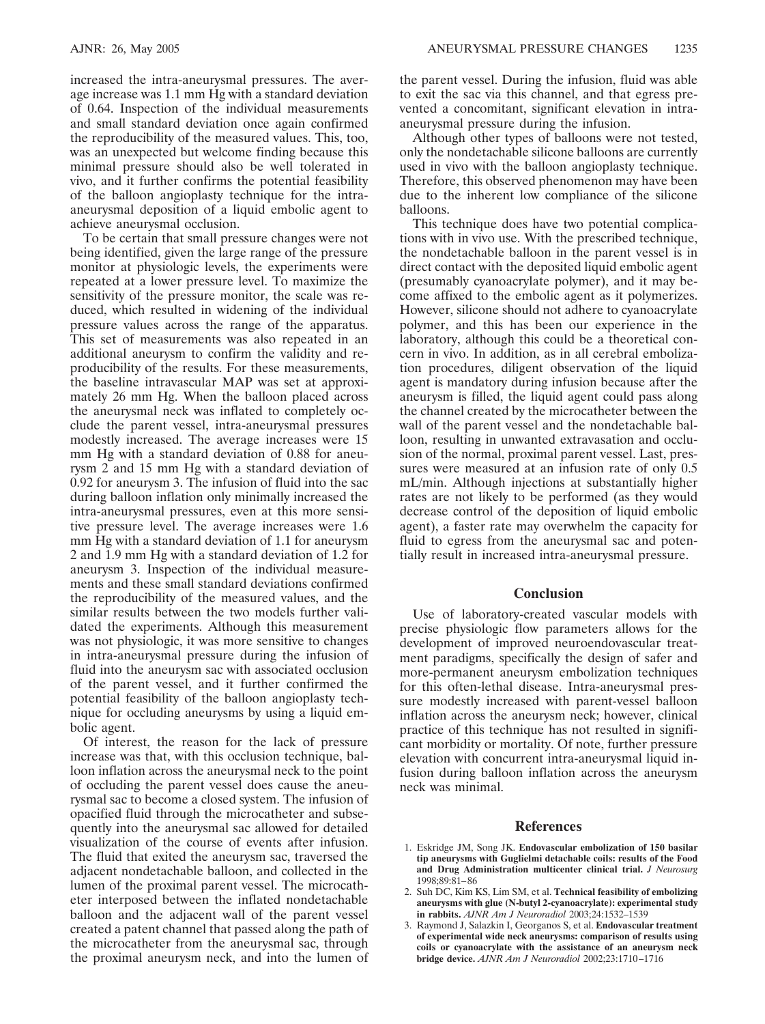increased the intra-aneurysmal pressures. The average increase was 1.1 mm Hg with a standard deviation of 0.64. Inspection of the individual measurements and small standard deviation once again confirmed the reproducibility of the measured values. This, too, was an unexpected but welcome finding because this minimal pressure should also be well tolerated in vivo, and it further confirms the potential feasibility of the balloon angioplasty technique for the intraaneurysmal deposition of a liquid embolic agent to achieve aneurysmal occlusion.

To be certain that small pressure changes were not being identified, given the large range of the pressure monitor at physiologic levels, the experiments were repeated at a lower pressure level. To maximize the sensitivity of the pressure monitor, the scale was reduced, which resulted in widening of the individual pressure values across the range of the apparatus. This set of measurements was also repeated in an additional aneurysm to confirm the validity and reproducibility of the results. For these measurements, the baseline intravascular MAP was set at approximately 26 mm Hg. When the balloon placed across the aneurysmal neck was inflated to completely occlude the parent vessel, intra-aneurysmal pressures modestly increased. The average increases were 15 mm Hg with a standard deviation of 0.88 for aneurysm 2 and 15 mm Hg with a standard deviation of 0.92 for aneurysm 3. The infusion of fluid into the sac during balloon inflation only minimally increased the intra-aneurysmal pressures, even at this more sensitive pressure level. The average increases were 1.6 mm Hg with a standard deviation of 1.1 for aneurysm 2 and 1.9 mm Hg with a standard deviation of 1.2 for aneurysm 3. Inspection of the individual measurements and these small standard deviations confirmed the reproducibility of the measured values, and the similar results between the two models further validated the experiments. Although this measurement was not physiologic, it was more sensitive to changes in intra-aneurysmal pressure during the infusion of fluid into the aneurysm sac with associated occlusion of the parent vessel, and it further confirmed the potential feasibility of the balloon angioplasty technique for occluding aneurysms by using a liquid embolic agent.

Of interest, the reason for the lack of pressure increase was that, with this occlusion technique, balloon inflation across the aneurysmal neck to the point of occluding the parent vessel does cause the aneurysmal sac to become a closed system. The infusion of opacified fluid through the microcatheter and subsequently into the aneurysmal sac allowed for detailed visualization of the course of events after infusion. The fluid that exited the aneurysm sac, traversed the adjacent nondetachable balloon, and collected in the lumen of the proximal parent vessel. The microcatheter interposed between the inflated nondetachable balloon and the adjacent wall of the parent vessel created a patent channel that passed along the path of the microcatheter from the aneurysmal sac, through the proximal aneurysm neck, and into the lumen of

the parent vessel. During the infusion, fluid was able to exit the sac via this channel, and that egress prevented a concomitant, significant elevation in intraaneurysmal pressure during the infusion.

Although other types of balloons were not tested, only the nondetachable silicone balloons are currently used in vivo with the balloon angioplasty technique. Therefore, this observed phenomenon may have been due to the inherent low compliance of the silicone balloons.

This technique does have two potential complications with in vivo use. With the prescribed technique, the nondetachable balloon in the parent vessel is in direct contact with the deposited liquid embolic agent (presumably cyanoacrylate polymer), and it may become affixed to the embolic agent as it polymerizes. However, silicone should not adhere to cyanoacrylate polymer, and this has been our experience in the laboratory, although this could be a theoretical concern in vivo. In addition, as in all cerebral embolization procedures, diligent observation of the liquid agent is mandatory during infusion because after the aneurysm is filled, the liquid agent could pass along the channel created by the microcatheter between the wall of the parent vessel and the nondetachable balloon, resulting in unwanted extravasation and occlusion of the normal, proximal parent vessel. Last, pressures were measured at an infusion rate of only 0.5 mL/min. Although injections at substantially higher rates are not likely to be performed (as they would decrease control of the deposition of liquid embolic agent), a faster rate may overwhelm the capacity for fluid to egress from the aneurysmal sac and potentially result in increased intra-aneurysmal pressure.

# **Conclusion**

Use of laboratory-created vascular models with precise physiologic flow parameters allows for the development of improved neuroendovascular treatment paradigms, specifically the design of safer and more-permanent aneurysm embolization techniques for this often-lethal disease. Intra-aneurysmal pressure modestly increased with parent-vessel balloon inflation across the aneurysm neck; however, clinical practice of this technique has not resulted in significant morbidity or mortality. Of note, further pressure elevation with concurrent intra-aneurysmal liquid infusion during balloon inflation across the aneurysm neck was minimal.

## **References**

- 1. Eskridge JM, Song JK. **Endovascular embolization of 150 basilar tip aneurysms with Guglielmi detachable coils: results of the Food and Drug Administration multicenter clinical trial.** *J Neurosurg* 1998;89:81– 86
- 2. Suh DC, Kim KS, Lim SM, et al. **Technical feasibility of embolizing aneurysms with glue (N-butyl 2-cyanoacrylate): experimental study in rabbits.** *AJNR Am J Neuroradiol* 2003;24:1532–1539
- 3. Raymond J, Salazkin I, Georganos S, et al. **Endovascular treatment of experimental wide neck aneurysms: comparison of results using coils or cyanoacrylate with the assistance of an aneurysm neck bridge device.** *AJNR Am J Neuroradiol* 2002;23:1710 –1716